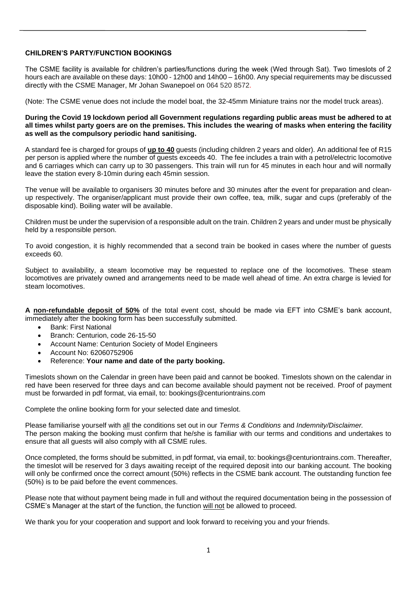### **CHILDREN'S PARTY/FUNCTION BOOKINGS**

The CSME facility is available for children's parties/functions during the week (Wed through Sat). Two timeslots of 2 hours each are available on these days: 10h00 - 12h00 and 14h00 – 16h00. Any special requirements may be discussed directly with the CSME Manager, Mr Johan Swanepoel on 064 520 8572.

(Note: The CSME venue does not include the model boat, the 32-45mm Miniature trains nor the model truck areas).

#### **During the Covid 19 lockdown period all Government regulations regarding public areas must be adhered to at all times whilst party goers are on the premises. This includes the wearing of masks when entering the facility as well as the compulsory periodic hand sanitising.**

A standard fee is charged for groups of **up to 40** guests (including children 2 years and older). An additional fee of R15 per person is applied where the number of guests exceeds 40. The fee includes a train with a petrol/electric locomotive and 6 carriages which can carry up to 30 passengers. This train will run for 45 minutes in each hour and will normally leave the station every 8-10min during each 45min session.

The venue will be available to organisers 30 minutes before and 30 minutes after the event for preparation and cleanup respectively. The organiser/applicant must provide their own coffee, tea, milk, sugar and cups (preferably of the disposable kind). Boiling water will be available.

Children must be under the supervision of a responsible adult on the train. Children 2 years and under must be physically held by a responsible person.

To avoid congestion, it is highly recommended that a second train be booked in cases where the number of guests exceeds 60.

Subject to availability, a steam locomotive may be requested to replace one of the locomotives. These steam locomotives are privately owned and arrangements need to be made well ahead of time. An extra charge is levied for steam locomotives.

**A non-refundable deposit of 50%** of the total event cost, should be made via EFT into CSME's bank account, immediately after the booking form has been successfully submitted.

- Bank: First National
- Branch: Centurion, code 26-15-50
- Account Name: Centurion Society of Model Engineers
- Account No: 62060752906
- Reference: **Your name and date of the party booking.**

Timeslots shown on the Calendar in green have been paid and cannot be booked. Timeslots shown on the calendar in red have been reserved for three days and can become available should payment not be received. Proof of payment must be forwarded in pdf format, via email, to: bookings@centuriontrains.com

Complete the online booking form for your selected date and timeslot.

Please familiarise yourself with all the conditions set out in our *Terms & Conditions* and *Indemnity/Disclaimer.* The person making the booking must confirm that he/she is familiar with our terms and conditions and undertakes to ensure that all guests will also comply with all CSME rules.

Once completed, the forms should be submitted, in pdf format, via email, to: bookings@centuriontrains.com. Thereafter, the timeslot will be reserved for 3 days awaiting receipt of the required deposit into our banking account. The booking will only be confirmed once the correct amount (50%) reflects in the CSME bank account. The outstanding function fee (50%) is to be paid before the event commences.

Please note that without payment being made in full and without the required documentation being in the possession of CSME's Manager at the start of the function, the function will not be allowed to proceed.

We thank you for your cooperation and support and look forward to receiving you and your friends.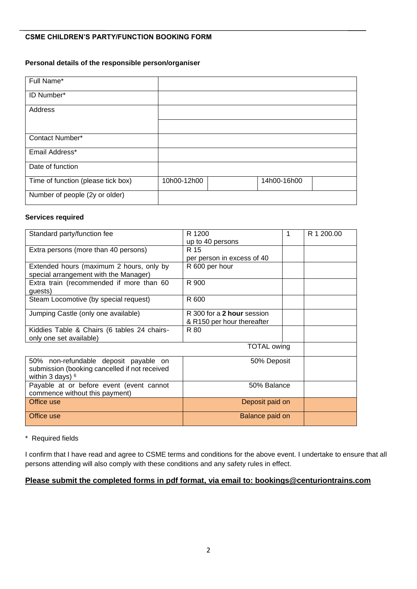# **CSME CHILDREN'S PARTY/FUNCTION BOOKING FORM**

### **Personal details of the responsible person/organiser**

| Full Name*                         |             |             |  |
|------------------------------------|-------------|-------------|--|
| ID Number*                         |             |             |  |
| Address                            |             |             |  |
|                                    |             |             |  |
| Contact Number*                    |             |             |  |
| Email Address*                     |             |             |  |
| Date of function                   |             |             |  |
| Time of function (please tick box) | 10h00-12h00 | 14h00-16h00 |  |
| Number of people (2y or older)     |             |             |  |

#### **Services required**

| Standard party/function fee                   | R 1200                     | R 1 200.00 |
|-----------------------------------------------|----------------------------|------------|
|                                               | up to 40 persons           |            |
| Extra persons (more than 40 persons)          | R 15                       |            |
|                                               | per person in excess of 40 |            |
| Extended hours (maximum 2 hours, only by      | R 600 per hour             |            |
| special arrangement with the Manager)         |                            |            |
| Extra train (recommended if more than 60      | R 900                      |            |
| quests)                                       |                            |            |
| Steam Locomotive (by special request)         | R 600                      |            |
| Jumping Castle (only one available)           | R 300 for a 2 hour session |            |
|                                               | & R150 per hour thereafter |            |
| Kiddies Table & Chairs (6 tables 24 chairs-   | R 80                       |            |
| only one set available)                       |                            |            |
|                                               | <b>TOTAL owing</b>         |            |
| 50% non-refundable deposit payable on         | 50% Deposit                |            |
| submission (booking cancelled if not received |                            |            |
| within 3 days) $6$                            |                            |            |
| Payable at or before event (event cannot      | 50% Balance                |            |
| commence without this payment)                |                            |            |
| Office use                                    | Deposit paid on            |            |
| Office use                                    | Balance paid on            |            |

\* Required fields

I confirm that I have read and agree to CSME terms and conditions for the above event. I undertake to ensure that all persons attending will also comply with these conditions and any safety rules in effect.

# **Please submit the completed forms in pdf format, via email to: bookings@centuriontrains.com**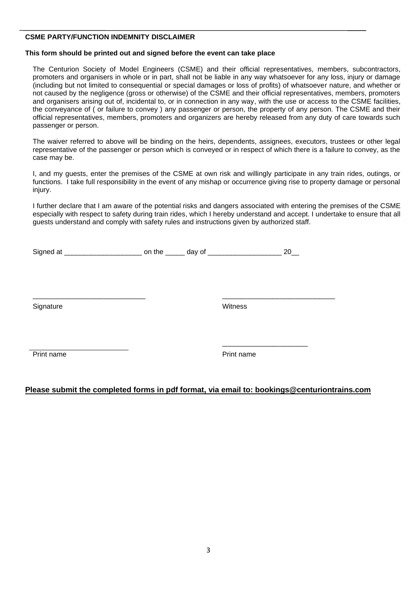## **CSME PARTY/FUNCTION INDEMNITY DISCLAIMER**

## **This form should be printed out and signed before the event can take place**

The Centurion Society of Model Engineers (CSME) and their official representatives, members, subcontractors, promoters and organisers in whole or in part, shall not be liable in any way whatsoever for any loss, injury or damage (including but not limited to consequential or special damages or loss of profits) of whatsoever nature, and whether or not caused by the negligence (gross or otherwise) of the CSME and their official representatives, members, promoters and organisers arising out of, incidental to, or in connection in any way, with the use or access to the CSME facilities, the conveyance of ( or failure to convey ) any passenger or person, the property of any person. The CSME and their official representatives, members, promoters and organizers are hereby released from any duty of care towards such passenger or person.

The waiver referred to above will be binding on the heirs, dependents, assignees, executors, trustees or other legal representative of the passenger or person which is conveyed or in respect of which there is a failure to convey, as the case may be.

I, and my guests, enter the premises of the CSME at own risk and willingly participate in any train rides, outings, or functions. I take full responsibility in the event of any mishap or occurrence giving rise to property damage or personal injury.

I further declare that I am aware of the potential risks and dangers associated with entering the premises of the CSME especially with respect to safety during train rides, which I hereby understand and accept. I undertake to ensure that all guests understand and comply with safety rules and instructions given by authorized staff.

|  | Sign |  |  |  |
|--|------|--|--|--|
|--|------|--|--|--|

 $\overline{\phantom{a}}$  , and the contribution of the contribution of the contribution of the contribution of the contribution of the contribution of the contribution of the contribution of the contribution of the contribution of the

Signature Witness

Print name Print name

\_\_\_\_\_\_\_\_\_\_\_\_\_\_\_\_\_\_\_\_\_\_

# **Please submit the completed forms in pdf format, via email to: bookings@centuriontrains.com**